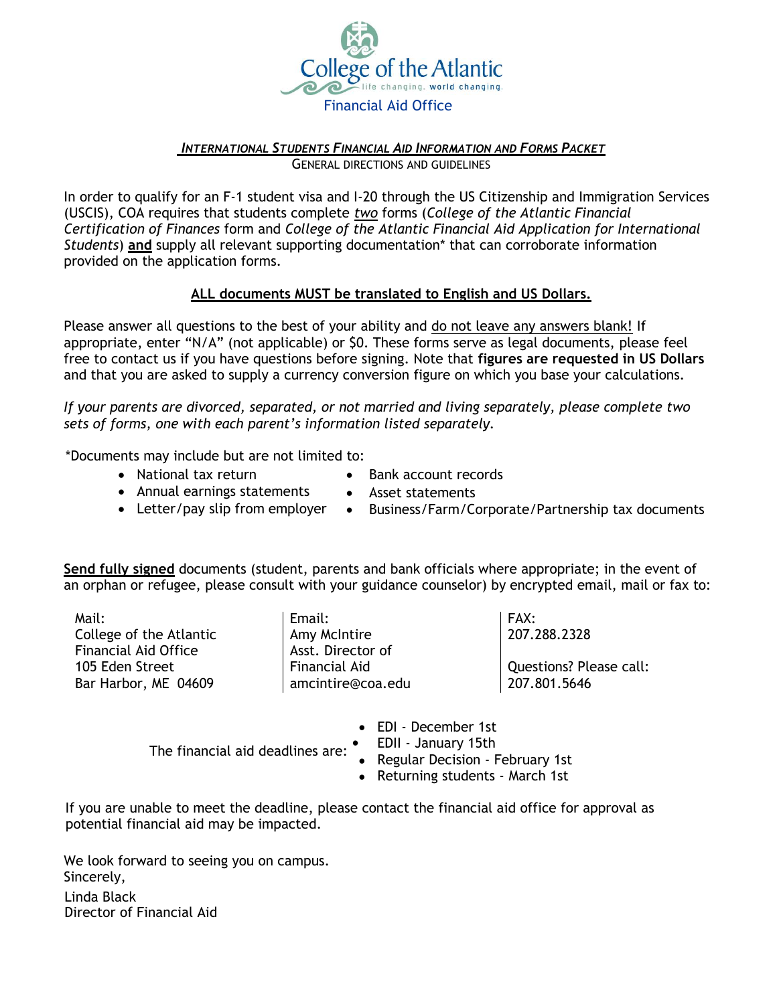

### *INTERNATIONAL STUDENTS FINANCIAL AID INFORMATION AND FORMS PACKET* GENERAL DIRECTIONS AND GUIDELINES

In order to qualify for an F-1 student visa and I-20 through the US Citizenship and Immigration Services (USCIS), COA requires that students complete *two* forms (*College of the Atlantic Financial Certification of Finances* form and *College of the Atlantic Financial Aid Application for International Students*) **and** supply all relevant supporting documentation\* that can corroborate information provided on the application forms.

### **ALL documents MUST be translated to English and US Dollars.**

Please answer all questions to the best of your ability and do not leave any answers blank! If appropriate, enter "N/A" (not applicable) or \$0. These forms serve as legal documents, please feel free to contact us if you have questions before signing. Note that **figures are requested in US Dollars**  and that you are asked to supply a currency conversion figure on which you base your calculations.

*If your parents are divorced, separated, or not married and living separately, please complete two sets of forms, one with each parent's information listed separately.*

\*Documents may include but are not limited to:

- National tax return
- Bank account records
- Annual earnings statements
- Asset statements
- Letter/pay slip from employer
	- Business/Farm/Corporate/Partnership tax documents

**Send fully signed** documents (student, parents and bank officials where appropriate; in the event of an orphan or refugee, please consult with your guidance counselor) by encrypted email, mail or fax to:

Mail: College of the Atlantic Financial Aid Office 105 Eden Street Bar Harbor, ME 04609

Email: Amy McIntire Asst. Director of Financial Aid [amcintire@coa.edu](mailto:amcintire@coa.edu) FAX: 207.288.2328 Questions? Please call: 207.801.5646

• Regular Decision - February 1st EDI - December 1st The financial aid deadlines are: EDII - January 15th

Returning students - March 1st

If you are unable to meet the deadline, please contact the financial aid office for approval as potential financial aid may be impacted.

We look forward to seeing you on campus. Sincerely, Linda Black Director of Financial Aid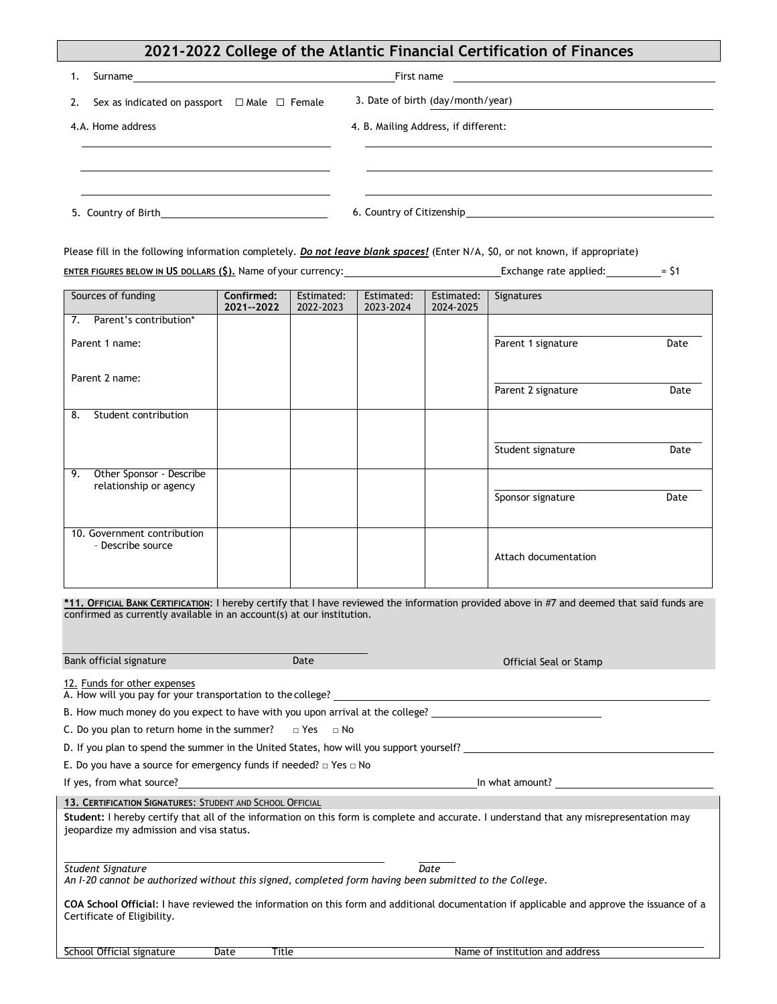## **2021-2022 College of the Atlantic Financial Certification of Finances**

| 1. |                                                        | First name<br><u> 1989 - Andrea Andrew Maria (h. 1989).</u> |
|----|--------------------------------------------------------|-------------------------------------------------------------|
| 2. | Sex as indicated on passport $\Box$ Male $\Box$ Female | 3. Date of birth (day/month/year)                           |
|    | 4.A. Home address                                      | 4. B. Mailing Address, if different:                        |
|    |                                                        |                                                             |
|    |                                                        |                                                             |
|    | 5. Country of Birth <b>Example 20</b>                  |                                                             |

Please fill in the following information completely. *Do not leave blank spaces!* (Enter N/A, \$0, or not known, if appropriate) **ENTER FIGURES BELOW IN US DOLLARS (\$).** Name of your currency: Exchange rate applied: = \$1

| Sources of funding                                                                                                                          | Confirmed:<br>2021--2022 | Estimated:<br>2022-2023 | Estimated:<br>2023-2024 | Estimated:<br>2024-2025 | Signatures                 |
|---------------------------------------------------------------------------------------------------------------------------------------------|--------------------------|-------------------------|-------------------------|-------------------------|----------------------------|
| Parent's contribution*<br>7.                                                                                                                |                          |                         |                         |                         |                            |
| Parent 1 name:                                                                                                                              |                          |                         |                         |                         | Parent 1 signature<br>Date |
| Parent 2 name:                                                                                                                              |                          |                         |                         |                         | Parent 2 signature<br>Date |
| Student contribution<br>8.                                                                                                                  |                          |                         |                         |                         |                            |
|                                                                                                                                             |                          |                         |                         |                         | Student signature<br>Date  |
| 9.<br>Other Sponsor - Describe<br>relationship or agency                                                                                    |                          |                         |                         |                         | Date<br>Sponsor signature  |
| 10. Government contribution<br>- Describe source                                                                                            |                          |                         |                         |                         | Attach documentation       |
| *11. OFFICIAL BANK CERTIFICATION: I hereby certify that I have reviewed the information provided above in #7 and deemed that said funds are |                          |                         |                         |                         |                            |

confirmed as currently available in an account(s) at our institution. **Bank official signature Date** Date **Date Constanting Constanting Constanting Constanting Constanting Constanting Constanting Constanting Constanting Constanting Constanting Constanting Constanting Constanting Constant** 12. Funds for other expenses A. How will you pay for your transportation to the college? B. How much money do you expect to have with you upon arrival at the college? C. Do you plan to return home in the summer?  $□$  Yes  $□$  No D. If you plan to spend the summer in the United States, how will you support yourself? E. Do you have a source for emergency funds if needed? □ Yes □ No If yes, from what source? In what is a set of the set of the set of the set of the set of the set of the set of the set of the set of the set of the set of the set of the set of the set of the set of the set of the set of School Official signature Date Title Name of institution and address *An I-20 cannot be authorized without this signed, completed form having been submitted to the College.* **COA School Official**: I have reviewed the information on this form and additional documentation if applicable and approve the issuance of a Certificate of Eligibility. *Student Signature Date* **Student:** I hereby certify that all of the information on this form is complete and accurate. I understand that any misrepresentation may jeopardize my admission and visa status. **13. CERTIFICATION SIGNATURES**: STUDENT AND SCHOOL OFFICIAL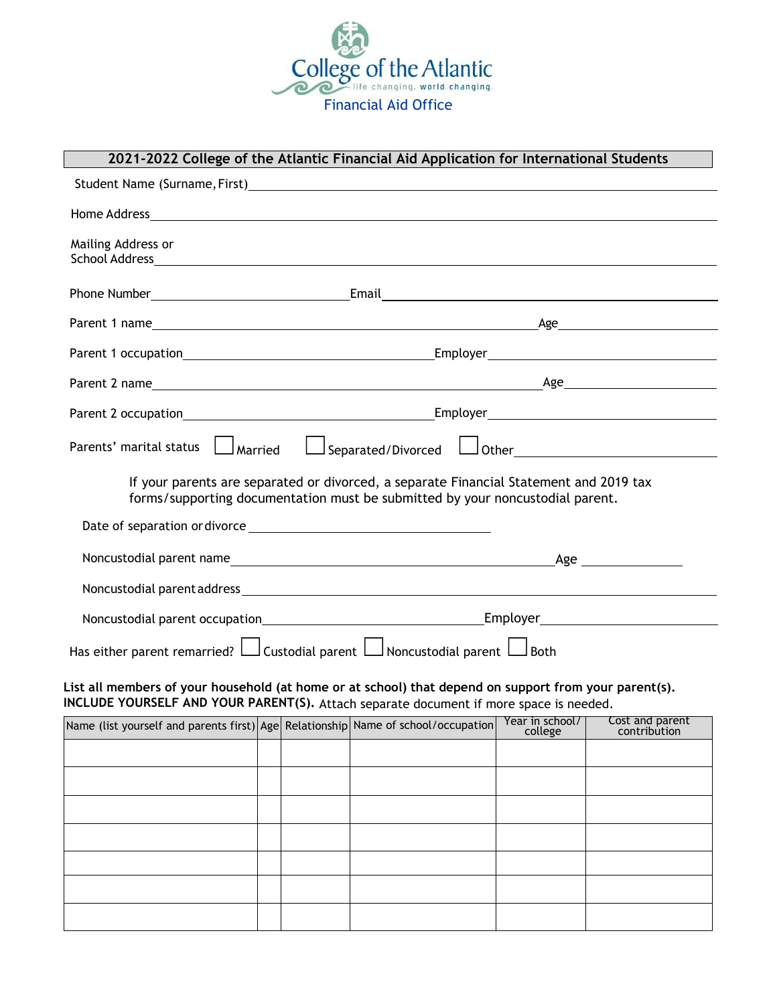

# **2021-2022 College of the Atlantic Financial Aid Application for International Students**

| Student Name (Surname, First)<br>Student Name (Surname, First)                                                                                                                                  |                                                                            |  |  |                            |                                 |  |
|-------------------------------------------------------------------------------------------------------------------------------------------------------------------------------------------------|----------------------------------------------------------------------------|--|--|----------------------------|---------------------------------|--|
|                                                                                                                                                                                                 |                                                                            |  |  |                            |                                 |  |
| Mailing Address or                                                                                                                                                                              |                                                                            |  |  |                            |                                 |  |
|                                                                                                                                                                                                 |                                                                            |  |  |                            |                                 |  |
|                                                                                                                                                                                                 |                                                                            |  |  |                            |                                 |  |
|                                                                                                                                                                                                 |                                                                            |  |  |                            |                                 |  |
|                                                                                                                                                                                                 |                                                                            |  |  |                            |                                 |  |
|                                                                                                                                                                                                 |                                                                            |  |  |                            |                                 |  |
| Parents' marital status $\Box$ Married $\Box$ Separated/Divorced $\Box$ Other $\Box$                                                                                                            |                                                                            |  |  |                            |                                 |  |
| If your parents are separated or divorced, a separate Financial Statement and 2019 tax<br>forms/supporting documentation must be submitted by your noncustodial parent.                         |                                                                            |  |  |                            |                                 |  |
|                                                                                                                                                                                                 |                                                                            |  |  |                            |                                 |  |
|                                                                                                                                                                                                 |                                                                            |  |  |                            |                                 |  |
|                                                                                                                                                                                                 |                                                                            |  |  |                            |                                 |  |
|                                                                                                                                                                                                 |                                                                            |  |  |                            |                                 |  |
|                                                                                                                                                                                                 | Has either parent remarried? Lustodial parent Lumoncustodial parent Lumoth |  |  |                            |                                 |  |
| List all members of your household (at home or at school) that depend on support from your parent(s).<br>INCLUDE YOURSELF AND YOUR PARENT(S). Attach separate document if more space is needed. |                                                                            |  |  |                            |                                 |  |
| Name (list yourself and parents first) Age Relationship Name of school/occupation                                                                                                               |                                                                            |  |  | Year in school/<br>college | Cost and parent<br>contribution |  |
|                                                                                                                                                                                                 |                                                                            |  |  |                            |                                 |  |
|                                                                                                                                                                                                 |                                                                            |  |  |                            |                                 |  |
|                                                                                                                                                                                                 |                                                                            |  |  |                            |                                 |  |
|                                                                                                                                                                                                 |                                                                            |  |  |                            |                                 |  |
|                                                                                                                                                                                                 |                                                                            |  |  |                            |                                 |  |
|                                                                                                                                                                                                 |                                                                            |  |  |                            |                                 |  |
|                                                                                                                                                                                                 |                                                                            |  |  |                            |                                 |  |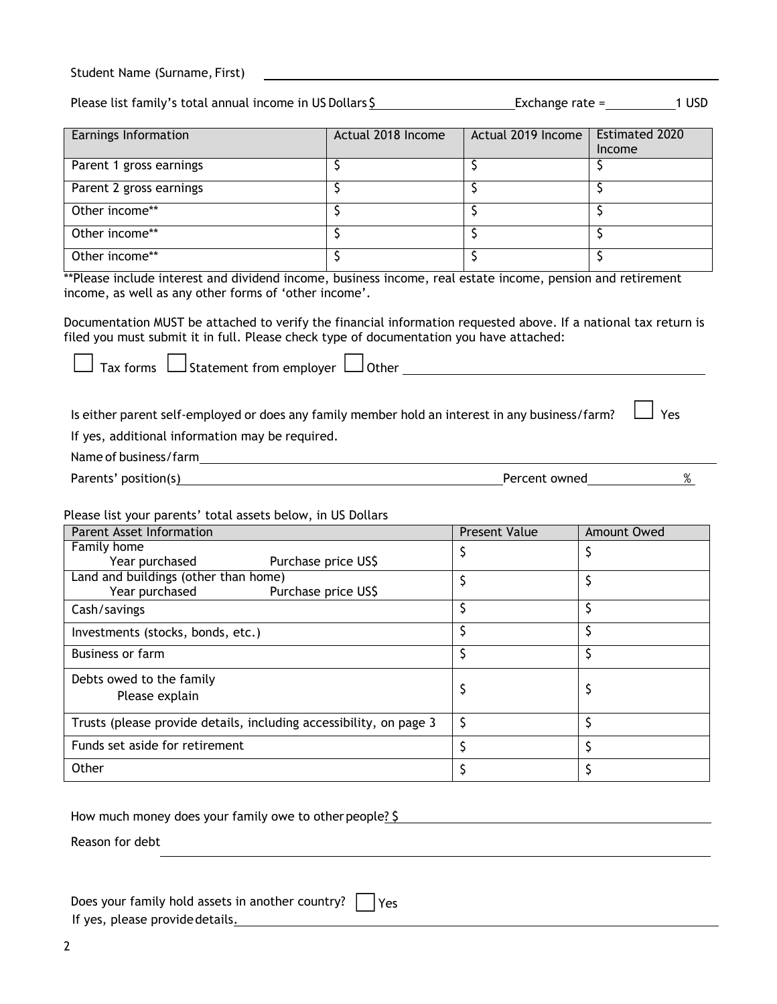| Student Name (Surname, First) |  |  |
|-------------------------------|--|--|
|-------------------------------|--|--|

Please list family's total annual income in US Dollars  $\frac{5}{2}$  Exchange rate = 1 USD

| Earnings Information    | Actual 2018 Income | Actual 2019 Income | <b>Estimated 2020</b><br>Income |
|-------------------------|--------------------|--------------------|---------------------------------|
| Parent 1 gross earnings |                    |                    |                                 |
| Parent 2 gross earnings |                    |                    |                                 |
| Other income**          |                    |                    |                                 |
| Other income**          |                    |                    |                                 |
| Other income**          |                    |                    |                                 |

\*\*Please include interest and dividend income, business income, real estate income, pension and retirement income, as well as any other forms of 'other income'.

Documentation MUST be attached to verify the financial information requested above. If a national tax return is filed you must submit it in full. Please check type of documentation you have attached:

 $\Box$  Tax forms  $\Box$  Statement from employer  $\Box$  Other

Is either parent self-employed or does any family member hold an interest in any business/farm?  $\vert$  Yes

If yes, additional information may be required.

Name of business/farm

Parents' position(s) 8 and 8 and 8 and 9 and 9 and 9 and 9 and 9 and 9 and 9 and 9 and 9 and 9 and 9 and 9 and 9 and 9 and 9 and 9 and 9 and 9 and 9 and 9 and 9 and 9 and 9 and 9 and 9 and 9 and 9 and 9 and 9 and 9 and 9 a

Please list your parents' total assets below, in US Dollars

| Parent Asset Information                                           | <b>Present Value</b> | Amount Owed |
|--------------------------------------------------------------------|----------------------|-------------|
| Family home                                                        |                      |             |
| Year purchased<br>Purchase price US\$                              |                      |             |
| Land and buildings (other than home)                               |                      |             |
| Year purchased<br>Purchase price US\$                              |                      |             |
| Cash/savings                                                       |                      |             |
| Investments (stocks, bonds, etc.)                                  |                      |             |
| <b>Business or farm</b>                                            |                      |             |
| Debts owed to the family                                           |                      |             |
| Please explain                                                     |                      |             |
| Trusts (please provide details, including accessibility, on page 3 | S                    |             |
| Funds set aside for retirement                                     |                      |             |
| Other                                                              |                      |             |

How much money does your family owe to other people? \$

Reason for debt

|  |  | Does your family hold assets in another country? $\Box$ Yes |  |
|--|--|-------------------------------------------------------------|--|
|  |  |                                                             |  |

If yes, please provide details.